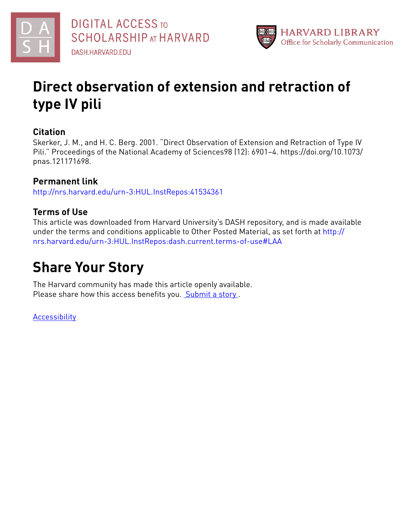



# **Direct observation of extension and retraction of type IV pili**

## **Citation**

Skerker, J. M., and H. C. Berg. 2001. "Direct Observation of Extension and Retraction of Type IV Pili." Proceedings of the National Academy of Sciences98 (12): 6901–4. https://doi.org/10.1073/ pnas.121171698.

# **Permanent link**

<http://nrs.harvard.edu/urn-3:HUL.InstRepos:41534361>

## **Terms of Use**

This article was downloaded from Harvard University's DASH repository, and is made available under the terms and conditions applicable to Other Posted Material, as set forth at [http://](http://nrs.harvard.edu/urn-3:HUL.InstRepos:dash.current.terms-of-use#LAA) [nrs.harvard.edu/urn-3:HUL.InstRepos:dash.current.terms-of-use#LAA](http://nrs.harvard.edu/urn-3:HUL.InstRepos:dash.current.terms-of-use#LAA)

# **Share Your Story**

The Harvard community has made this article openly available. Please share how this access benefits you. [Submit](http://osc.hul.harvard.edu/dash/open-access-feedback?handle=&title=Direct%20observation%20of%20extension%20and%20retraction%20of%20type%20IV%20pili&community=1/1&collection=1/2&owningCollection1/2&harvardAuthors=9f024cc29af1871205217a524973a897&department) a story.

[Accessibility](https://dash.harvard.edu/pages/accessibility)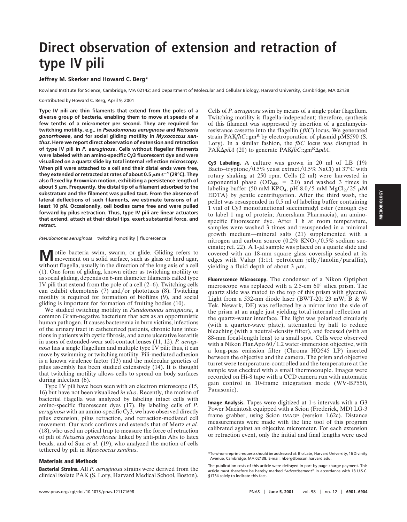# **Direct observation of extension and retraction of type IV pili**

## **Jeffrey M. Skerker and Howard C. Berg\***

Rowland Institute for Science, Cambridge, MA 02142; and Department of Molecular and Cellular Biology, Harvard University, Cambridge, MA 02138

Contributed by Howard C. Berg, April 9, 2001

**Type IV pili are thin filaments that extend from the poles of a diverse group of bacteria, enabling them to move at speeds of a few tenths of a micrometer per second. They are required for twitching motility, e.g., in** *Pseudomonas aeruginosa* **and** *Neisseria gonorrhoeae***, and for social gliding motility in** *Myxococcus xanthus***. Here we report direct observation of extension and retraction of type IV pili in** *P. aeruginosa***. Cells without flagellar filaments were labeled with an amino-specific Cy3 fluorescent dye and were visualized on a quartz slide by total internal reflection microscopy. When pili were attached to a cell and their distal ends were free, they extended or retracted at rates of about 0.5**  $\mu$ **m s<sup>-1</sup> (29°C). They also flexed by Brownian motion, exhibiting a persistence length of** about 5  $\mu$ m. Frequently, the distal tip of a filament adsorbed to the **substratum and the filament was pulled taut. From the absence of lateral deflections of such filaments, we estimate tensions of at least 10 pN. Occasionally, cell bodies came free and were pulled forward by pilus retraction. Thus, type IV pili are linear actuators that extend, attach at their distal tips, exert substantial force, and retract.**

#### $Pseudomonas$   $a$ eruginosa | twitching motility | fluorescence

**M** otile bacteria swim, swarm, or glide. Gliding refers to movement on a solid surface, such as glass or hard agar, without flagella, usually in the direction of the long axis of a cell (1). One form of gliding, known either as twitching motility or as social gliding, depends on 6-nm diameter filaments called type IV pili that extend from the pole of a cell (2–6). Twitching cells can exhibit chemotaxis  $(7)$  and/or phototaxis  $(8)$ . Twitching motility is required for formation of biofilms (9), and social gliding is important for formation of fruiting bodies (10).

We studied twitching motility in *Pseudomonas aeruginosa*, a common Gram-negative bacterium that acts as an opportunistic human pathogen. It causes bacteremia in burn victims, infections of the urinary tract in catheterized patients, chronic lung infections in patients with cystic fibrosis, and acute ulcerative keratitis in users of extended-wear soft-contact lenses (11, 12). *P. aeruginosa* has a single flagellum and multiple type IV pili; thus, it can move by swimming or twitching motility. Pili-mediated adhesion is a known virulence factor (13) and the molecular genetics of pilus assembly has been studied extensively (14). It is thought that twitching motility allows cells to spread on body surfaces during infection (6).

Type IV pili have been seen with an electron microscope (15, 16) but have not been visualized *in vivo*. Recently, the motion of bacterial flagella was analyzed by labeling intact cells with amino-specific fluorescent dyes (17). By labeling cells of *P. aeruginosa* with an amino-specific Cy3, we have observed directly pilus extension, pilus retraction, and retraction-mediated cell movement. Our work confirms and extends that of Mertz *et al.* (18), who used an optical trap to measure the force of retraction of pili of *Neisseria gonorrhoeae* linked by anti-pilin Abs to latex beads, and of Sun *et al.* (19), who analyzed the motion of cells tethered by pili in *Myxococcus xanthus*.

### **Materials and Methods**

**Bacterial Strains.** All *P. aeruginosa* strains were derived from the clinical isolate PAK (S. Lory, Harvard Medical School, Boston). Cells of *P. aeruginosa* swim by means of a single polar flagellum. Twitching motility is flagella-independent; therefore, synthesis of this filament was suppressed by insertion of a gentamycinresistance cassette into the flagellin (*fliC*) locus. We generated strain PAK*fliC*::gm<sup>R</sup> by electroporation of plasmid pMS590 (S. Lory). In a similar fashion, the *fliC* locus was disrupted in PAK $\Delta$ *pilA* (20) to generate PAK*fliC*::gm<sup>R</sup> $\Delta$ *pilA*.

**Cy3 Labeling.** A culture was grown in 20 ml of LB (1% Bacto–tryptone/0.5% yeast extract/0.5% NaCl) at 37°C with rotary shaking at 250 rpm. Cells (2 ml) were harvested in exponential phase  $(OD_{600} = 2.0)$  and washed 3 times in labeling buffer (50 mM KPO<sub>4</sub>, pH 8.0/5 mM MgCl<sub>2</sub>/25  $\mu$ M EDTA) by gentle centrifugation. After the third wash, the pellet was resuspended in 0.5 ml of labeling buffer containing 1 vial of Cy3 monofunctional succinimidyl ester (enough dye to label 1 mg of protein; Amersham Pharmacia), an aminospecific fluorescent dye. After 1 h at room temperature, samples were washed 3 times and resuspended in a minimal growth medium—mineral salts (21) supplemented with a nitrogen and carbon source  $(0.2\% \text{ KNO}_3^3/0.5\% \text{ sodium suc-}$ cinate; ref. 22). A 1- $\mu$ l sample was placed on a quartz slide and covered with an 18-mm square glass coverslip sealed at its edges with Valap  $(1:1:1$  petroleum jelly/lanolin/paraffin), yielding a fluid depth of about  $3 \mu m$ .

**Fluorescence Microscopy.** The condenser of a Nikon Optiphot microscope was replaced with a 2.5-cm 60° silica prism. The quartz slide was mated to the top of this prism with glycerol. Light from a 532-nm diode laser (BWT-20; 23 mW; B & W Tek, Newark, DE) was reflected by a mirror into the side of the prism at an angle just yielding total internal reflection at the quartz–water interface. The light was polarized circularly (with a quarter-wave plate), attenuated by half to reduce bleaching (with a neutral-density filter), and focused (with an 88-mm focal-length lens) to a small spot. Cells were observed with a Nikon PlanApo  $60/1.2$  water-immersion objective, with a long-pass emission filter (Chroma HQ545 LP) inserted between the objective and the camera. The prism and objective turret were temperature-controlled and the temperature at the sample was checked with a small thermocouple. Images were recorded on Hi-8 tape with a CCD camera run with automatic gain control in 10-frame integration mode (WV-BP550, Panasonic).

**Image Analysis.** Tapes were digitized at 1-s intervals with a G3 Power Macintosh equipped with a Scion (Frederick, MD) LG-3 frame grabber, using Scion IMAGE (version 1.62c). Distance measurements were made with the line tool of this program calibrated against an objective micrometer. For each extension or retraction event, only the initial and final lengths were used

<sup>\*</sup>To whom reprint requests should be addressed at: Bio Labs, Harvard University, 16 Divinity Avenue, Cambridge, MA 02138. E-mail: hberg@biosun.harvard.edu.

The publication costs of this article were defrayed in part by page charge payment. This article must therefore be hereby marked "*advertisement*" in accordance with 18 U.S.C. §1734 solely to indicate this fact.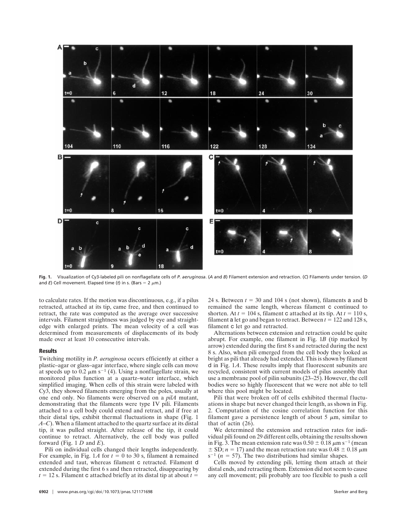

**Fig. 1.** Visualization of Cy3-labeled pili on nonflagellate cells of *P. aeruginosa*. (*A* and *B*) Filament extension and retraction. (*C*) Filaments under tension. (*D* and *E*) Cell movement. Elapsed time (*t*) in s. (Bars =  $2 \mu m$ .)

to calculate rates. If the motion was discontinuous, e.g., if a pilus retracted, attached at its tip, came free, and then continued to retract, the rate was computed as the average over successive intervals. Filament straightness was judged by eye and straightedge with enlarged prints. The mean velocity of a cell was determined from measurements of displacements of its body made over at least 10 consecutive intervals.

### **Results**

Twitching motility in *P. aeruginosa* occurs efficiently at either a plastic–agar or glass–agar interface, where single cells can move at speeds up to 0.2  $\mu$ m s<sup>-1</sup> (4). Using a nonflagellate strain, we monitored pilus function at a quartz–water interface, which simplified imaging. When cells of this strain were labeled with Cy3, they showed filaments emerging from the poles, usually at one end only. No filaments were observed on a *pilA* mutant, demonstrating that the filaments were type IV pili. Filaments attached to a cell body could extend and retract, and if free at their distal tips, exhibit thermal fluctuations in shape (Fig. 1 *A*–*C*). When a filament attached to the quartz surface at its distal tip, it was pulled straight. After release of the tip, it could continue to retract. Alternatively, the cell body was pulled forward (Fig. 1 *D* and *E*).

Pili on individual cells changed their lengths independently. For example, in Fig. 1A for  $t = 0$  to 30 s, filament a remained extended and taut, whereas filament c retracted. Filament d extended during the first 6 s and then retracted, disappearing by  $t = 12$  s. Filament c attached briefly at its distal tip at about  $t =$ 

24 s. Between  $t = 30$  and 104 s (not shown), filaments a and b remained the same length, whereas filament c continued to shorten. At  $t = 104$  s, filament c attached at its tip. At  $t = 110$  s, filament a let go and began to retract. Between  $t = 122$  and 128 s, filament c let go and retracted.

Alternations between extension and retraction could be quite abrupt. For example, one filament in Fig. 1*B* (tip marked by arrow) extended during the first 8 s and retracted during the next 8 s. Also, when pili emerged from the cell body they looked as bright as pili that already had extended. This is shown by filament d in Fig. 1*A*. These results imply that fluorescent subunits are recycled, consistent with current models of pilus assembly that use a membrane pool of pilin subunits (23–25). However, the cell bodies were so highly fluorescent that we were not able to tell where this pool might be located.

Pili that were broken off of cells exhibited thermal fluctuations in shape but never changed their length, as shown in Fig. 2. Computation of the cosine correlation function for this filament gave a persistence length of about 5  $\mu$ m, similar to that of actin (26).

We determined the extension and retraction rates for individual pili found on 29 different cells, obtaining the results shown in Fig. 3. The mean extension rate was  $0.50 \pm 0.18 \ \mu m s^{-1}$  (mean  $\pm$  SD; *n* = 17) and the mean retraction rate was 0.48  $\pm$  0.18  $\mu$ m  $s^{-1}$  ( $n = 57$ ). The two distributions had similar shapes.

Cells moved by extending pili, letting them attach at their distal ends, and retracting them. Extension did not seem to cause any cell movement; pili probably are too flexible to push a cell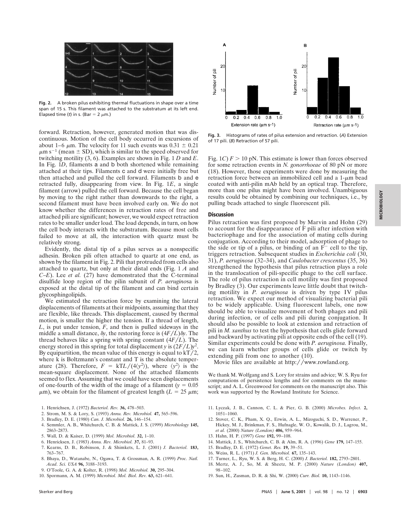

**Fig. 2.** A broken pilus exhibiting thermal fluctuations in shape over a time span of 15 s. This filament was attached to the substratum at its left end. Elapsed time (*t*) in s. (Bar =  $2 \mu$ m.)

forward. Retraction, however, generated motion that was discontinuous. Motion of the cell body occurred in excursions of about 1–6  $\mu$ m. The velocity for 11 such events was 0.31  $\pm$  0.21  $\mu$ m s<sup>-1</sup> (mean  $\pm$  SD), which is similar to the speed observed for twitching motility (3, 6). Examples are shown in Fig. 1 *D* and *E*. In Fig. 1*D*, filaments a and b both shortened while remaining attached at their tips. Filaments c and d were initially free but then attached and pulled the cell forward. Filaments b and e retracted fully, disappearing from view. In Fig. 1*E*, a single filament (arrow) pulled the cell forward. Because the cell began by moving to the right rather than downwards to the right, a second filament must have been involved early on. We do not know whether the differences in retraction rates of free and attached pili are significant; however, we would expect retraction rates to be smaller under load. The load depends, in turn, on how the cell body interacts with the substratum. Because most cells failed to move at all, the interaction with quartz must be relatively strong.

Evidently, the distal tip of a pilus serves as a nonspecific adhesin. Broken pili often attached to quartz at one end, as shown by the filament in Fig. 2. Pili that protruded from cells also attached to quartz, but only at their distal ends (Fig. 1 *A* and *C*–*E*). Lee *et al.* (27) have demonstrated that the C-terminal disulfide loop region of the pilin subunit of *P. aerugino*sa is exposed at the distal tip of the filament and can bind certain glycosphingolipids.

We estimated the retraction force by examining the lateral displacements of filaments at their midpoints, assuming that they are flexible, like threads. This displacement, caused by thermal motion, is smaller the higher the tension. If a thread of length, *L*, is put under tension, *F*, and then is pulled sideways in the middle a small distance,  $\delta y$ , the restoring force is  $(4F/L)\delta y$ . The thread behaves like a spring with spring constant  $(4F/L)$ . The energy stored in this spring for total displacement *y* is  $(2F/L)y^2$ . By equipartition, the mean value of this energy is equal to  $kT/2$ , where k is Boltzmann's constant and T is the absolute temperature (28). Therefore,  $F = kTL/(4\langle y^2 \rangle)$ , where  $\langle y^2 \rangle$  is the mean-square displacement. None of the attached filaments seemed to flex. Assuming that we could have seen displacements of one-fourth of the width of the image of a filament  $(y = 0.05)$  $\mu$ m), we obtain for the filament of greatest length ( $L = 25 \mu$ m;

- 1. Henrichsen, J. (1972) *Bacteriol. Rev.* **36,** 478–503.
- 2. Strom, M. S. & Lory, S. (1993) *Annu. Rev. Microbiol.* **47,** 565–596.
- 3. Bradley, D. E. (1980) *Can. J. Microbiol.* **26,** 146–154.
- 4. Semmler, A. B., Whitchurch, C. B. & Mattick, J. S. (1999) *Microbiology* **145,** 2863–2873.
- 5. Wall, D. & Kaiser, D. (1999) *Mol. Microbiol.* **32,** 1–10.
- 6. Henricksen, J. (1983) *Annu. Rev. Microbiol.* **37,** 81–93.
- 7. Kearns, D. B., Robinson, J. & Shimkets, L. J. (2001) *J. Bacteriol.* **183,** 763–767.
- 8. Bhaya, D., Watanabe, N., Ogawa, T. & Grossman, A. R. (1999) *Proc. Natl. Acad. Sci. USA* **96,** 3188–3193.
- 9. O'Toole, G. A. & Kolter, R. (1998) *Mol. Microbiol.* **30,** 295–304.
- 10. Spormann, A. M. (1999) *Microbiol. Mol. Biol. Rev.* **63,** 621–641.



**Fig. 3.** Histograms of rates of pilus extension and retraction. (*A*) Extension of 17 pili. (*B*) Retraction of 57 pili.

Fig. 1*C*)  $F > 10$  pN. This estimate is lower than forces observed for some retraction events in *N. gonorrhoeae* of 80 pN or more (18). However, those experiments were done by measuring the retraction force between an immobilized cell and a  $1-\mu m$  bead coated with anti-pilin mAb held by an optical trap. Therefore, more than one pilus might have been involved. Unambiguous results could be obtained by combining our techniques, i.e., by pulling beads attached to single fluorescent pili.

### **Discussion**

Pilus retraction was first proposed by Marvin and Hohn (29) to account for the disappearance of F pili after infection with bacteriophage and for the association of mating cells during conjugation. According to their model, adsorption of phage to the side or tip of a pilus, or binding of an  $F^-$  cell to the tip, triggers retraction. Subsequent studies in *Escherichia coli* (30, 31), *P. aeruginosa* (32–34), and *Caulobacter crescentus* (35, 36) strengthened the hypothesis that pilus retraction plays a role in the translocation of pili-specific phage to the cell surface. The role of pilus retraction in cell motility was first proposed by Bradley (3). Our experiments leave little doubt that twitching motility in *P. aeruginosa* is driven by type IV pilus retraction. We expect our method of visualizing bacterial pili to be widely applicable. Using fluorescent labels, one now should be able to visualize movement of both phages and pili during infection, or of cells and pili during conjugation. It should also be possible to look at extension and retraction of pili in *M. xanthus* to test the hypothesis that cells glide forward and backward by activating pili at opposite ends of the cell (19). Similar experiments could be done with *P. aeruginosa.* Finally, we can learn whether groups of cells glide or twitch by extending pili from one to another (10).

Movie files are available at http://www.rowland.org.

We thank M. Wolfgang and S. Lory for strains and advice; W. S. Ryu for computations of persistence lengths and for comments on the manuscript; and A. L. Greenwood for comments on the manuscript also. This work was supported by the Rowland Institute for Science.

- 11. Lyczak, J. B., Cannon, C. L. & Pier, G. B. (2000) *Microbes. Infect.* **2,** 1051–1060.
- 12. Stover, C. K., Pham, X. Q., Erwin, A. L., Mizoguchi, S. D., Warrener, P., Hickey, M. J., Brinkman, F. S., Hufnagle, W. O., Kowalik, D. J., Lagrou, M., *et al.* (2000) *Nature (London)* **406,** 959–964.
- 13. Hahn, H. P. (1997) *Gene* **192,** 99–108.
- 14. Mattick, J. S., Whitchurch, C. B. & Alm, R. A. (1996) *Gene* **179,** 147–155.
- 15. Bradley, D. E. (1972) *Genet. Res.* **19,** 39–51.
- 16. Weiss, R. L. (1971) *J. Gen. Microbiol.* **67,** 135–143.
- 17. Turner, L., Ryu, W. S. & Berg, H. C. (2000) *J. Bacteriol.* **182,** 2793–2801.
- 18. Mertz, A. J., So, M. & Sheetz, M. P. (2000) *Nature (London)* **407,** 98–102.
- 19. Sun, H., Zusman, D. R. & Shi, W. (2000) *Curr. Biol.* **10,** 1143–1146.